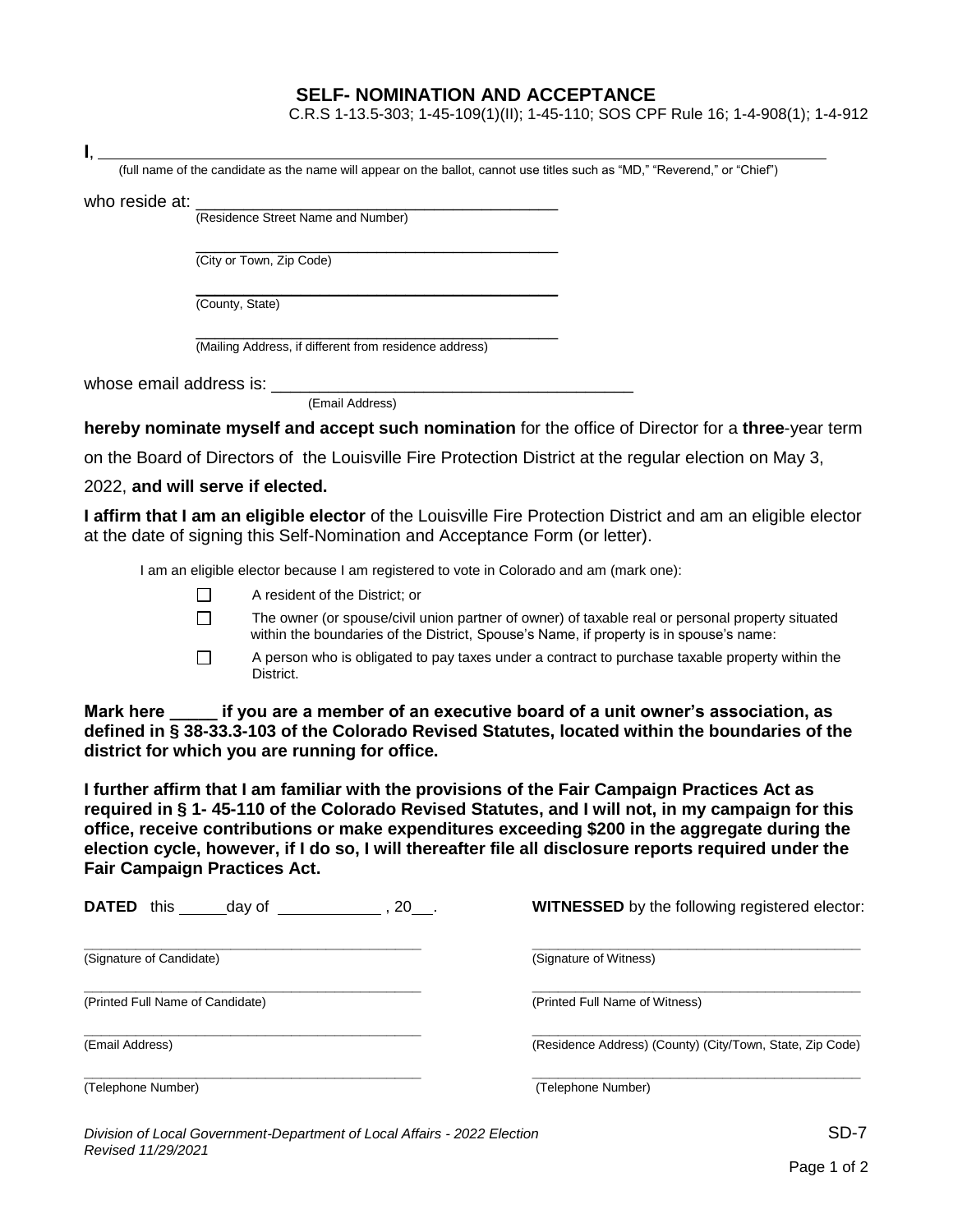## **SELF- NOMINATION AND ACCEPTANCE**

C.R.S 1-13.5-303; 1-45-109(1)(II); 1-45-110; SOS CPF Rule 16; 1-4-908(1); 1-4-912

| (full name of the candidate as the name will appear on the ballot, cannot use titles such as "MD," "Reverend," or "Chief")                                                                      |
|-------------------------------------------------------------------------------------------------------------------------------------------------------------------------------------------------|
|                                                                                                                                                                                                 |
| who reside at: (Residence Street Name and Number)                                                                                                                                               |
| (City or Town, Zip Code)                                                                                                                                                                        |
| (County, State)                                                                                                                                                                                 |
| (Mailing Address, if different from residence address)                                                                                                                                          |
|                                                                                                                                                                                                 |
| (Email Address)                                                                                                                                                                                 |
| hereby nominate myself and accept such nomination for the office of Director for a three-year term                                                                                              |
| on the Board of Directors of the Louisville Fire Protection District at the regular election on May 3,                                                                                          |
| 2022, and will serve if elected.                                                                                                                                                                |
| I affirm that I am an eligible elector of the Louisville Fire Protection District and am an eligible elector<br>at the date of signing this Self-Nomination and Acceptance Form (or letter).    |
| I am an eligible elector because I am registered to vote in Colorado and am (mark one):                                                                                                         |
| A resident of the District; or<br>$\Box$                                                                                                                                                        |
| The owner (or spouse/civil union partner of owner) of taxable real or personal property situated<br>П<br>within the boundaries of the District, Spouse's Name, if property is in spouse's name: |
| A person who is obligated to pay taxes under a contract to purchase taxable property within the<br>П<br>District.                                                                               |

**Mark here \_\_\_\_\_ if you are a member of an executive board of a unit owner's association, as defined in § 38-33.3-103 of the Colorado Revised Statutes, located within the boundaries of the district for which you are running for office.**

**I further affirm that I am familiar with the provisions of the Fair Campaign Practices Act as required in § 1- 45-110 of the Colorado Revised Statutes, and I will not, in my campaign for this office, receive contributions or make expenditures exceeding \$200 in the aggregate during the election cycle, however, if I do so, I will thereafter file all disclosure reports required under the Fair Campaign Practices Act.**

| <b>DATED</b><br>this<br>$, 20$ .<br>day of | <b>WITNESSED</b> by the following registered elector:     |
|--------------------------------------------|-----------------------------------------------------------|
| (Signature of Candidate)                   | (Signature of Witness)                                    |
| (Printed Full Name of Candidate)           | (Printed Full Name of Witness)                            |
| (Email Address)                            | (Residence Address) (County) (City/Town, State, Zip Code) |
| (Telephone Number)                         | (Telephone Number)                                        |